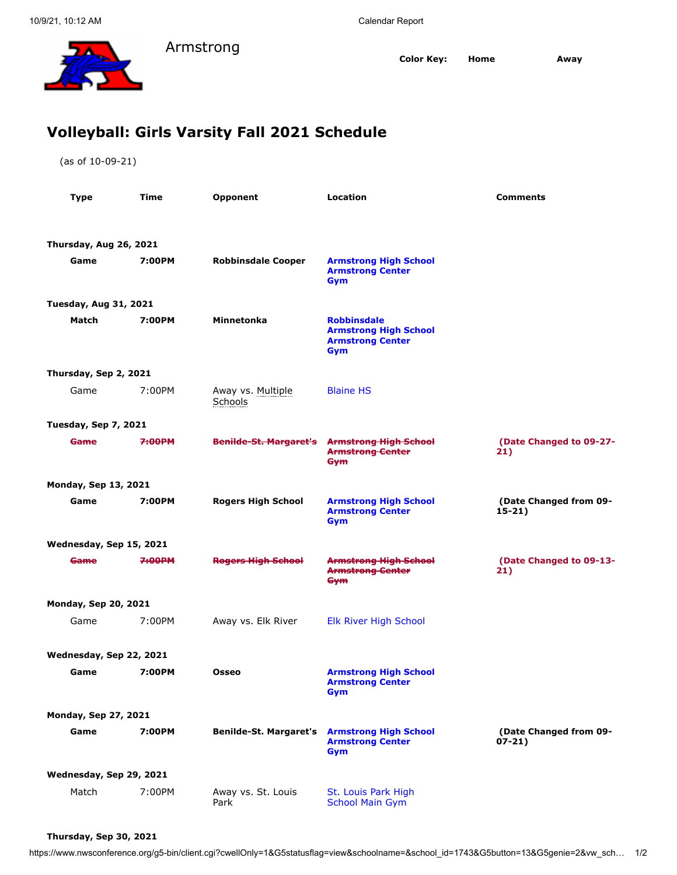

**Color Key: Home Away**

## **Volleyball: Girls Varsity Fall 2021 Schedule**

Armstrong

(as of 10-09-21)

| <b>Type</b>                  | Time                  | Opponent                      | Location                                                                             | <b>Comments</b>                    |  |  |  |  |
|------------------------------|-----------------------|-------------------------------|--------------------------------------------------------------------------------------|------------------------------------|--|--|--|--|
|                              |                       |                               |                                                                                      |                                    |  |  |  |  |
| Thursday, Aug 26, 2021       |                       |                               |                                                                                      |                                    |  |  |  |  |
| Game                         | 7:00PM                | <b>Robbinsdale Cooper</b>     | <b>Armstrong High School</b><br><b>Armstrong Center</b><br>Gym                       |                                    |  |  |  |  |
| <b>Tuesday, Aug 31, 2021</b> |                       |                               |                                                                                      |                                    |  |  |  |  |
| Match                        | 7:00PM                | Minnetonka                    | <b>Robbinsdale</b><br><b>Armstrong High School</b><br><b>Armstrong Center</b><br>Gym |                                    |  |  |  |  |
|                              | Thursday, Sep 2, 2021 |                               |                                                                                      |                                    |  |  |  |  |
| Game                         | 7:00PM                | Away vs. Multiple<br>Schools  | <b>Blaine HS</b>                                                                     |                                    |  |  |  |  |
| <b>Tuesday, Sep 7, 2021</b>  |                       |                               |                                                                                      |                                    |  |  |  |  |
| <b>Game</b>                  | 7:00PM                | <b>Benilde-St. Margaret's</b> | <b>Armstrong High School</b><br><b>Armstrong Center</b><br>Gym                       | (Date Changed to 09-27-<br>21)     |  |  |  |  |
| <b>Monday, Sep 13, 2021</b>  |                       |                               |                                                                                      |                                    |  |  |  |  |
| Game                         | 7:00PM                | <b>Rogers High School</b>     | <b>Armstrong High School</b><br><b>Armstrong Center</b><br>Gym                       | (Date Changed from 09-<br>$15-21)$ |  |  |  |  |
| Wednesday, Sep 15, 2021      |                       |                               |                                                                                      |                                    |  |  |  |  |
| <del>Game</del>              | 7:00PM                | <b>Rogers High School</b>     | <b>Armstrong High School</b><br><b>Armstrong Center</b><br>Gym                       | (Date Changed to 09-13-<br>21)     |  |  |  |  |
| <b>Monday, Sep 20, 2021</b>  |                       |                               |                                                                                      |                                    |  |  |  |  |
| Game                         | 7:00PM                | Away vs. Elk River            | Elk River High School                                                                |                                    |  |  |  |  |
| Wednesday, Sep 22, 2021      |                       |                               |                                                                                      |                                    |  |  |  |  |
| Game                         | 7:00PM                | <b>Osseo</b>                  | <b>Armstrong High School</b><br><b>Armstrong Center</b><br>Gym                       |                                    |  |  |  |  |
| <b>Monday, Sep 27, 2021</b>  |                       |                               |                                                                                      |                                    |  |  |  |  |
| Game                         | 7:00PM                | <b>Benilde-St. Margaret's</b> | <b>Armstrong High School</b><br><b>Armstrong Center</b><br>Gym                       | (Date Changed from 09-<br>$07-21)$ |  |  |  |  |
| Wednesday, Sep 29, 2021      |                       |                               |                                                                                      |                                    |  |  |  |  |
| Match                        | 7:00PM                | Away vs. St. Louis<br>Park    | St. Louis Park High<br><b>School Main Gym</b>                                        |                                    |  |  |  |  |

## **Thursday, Sep 30, 2021**